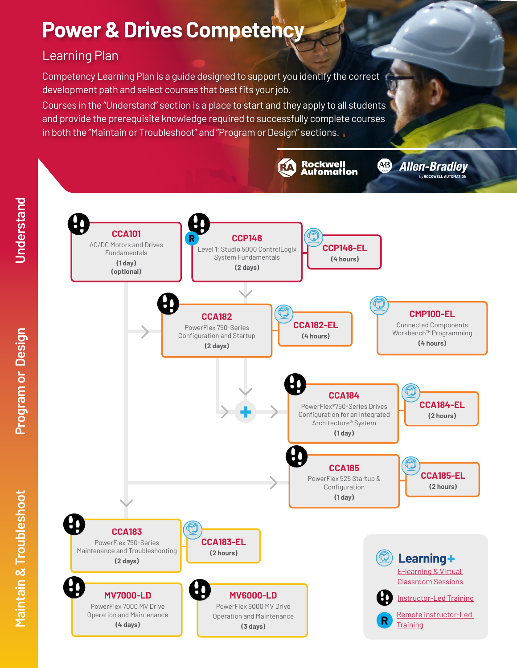# **Power & Drives Competency**

# Learning Plan

Competency Learning Plan is a guide designed to support you identify the correct development path and select courses that best fits your job.

Courses in the "Understand" section is a place to start and they apply to all students and provide the prerequisite knowledge required to successfully complete courses in both the "Maintain or Troubleshoot" and "Program or Design" sections.